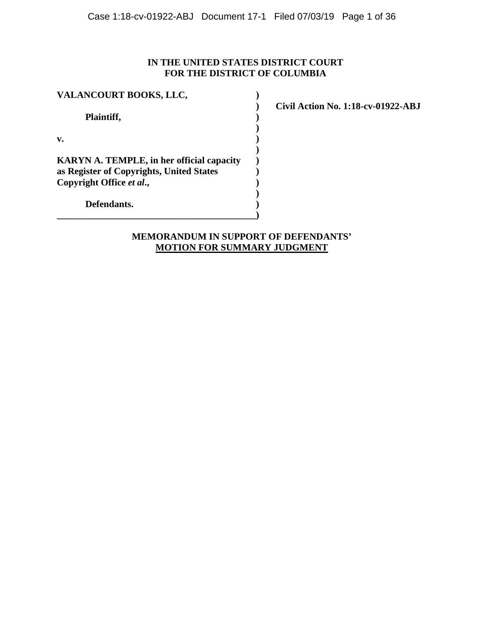# **IN THE UNITED STATES DISTRICT COURT FOR THE DISTRICT OF COLUMBIA**

| VALANCOURT BOOKS, LLC,                                                                                                   |  |  |
|--------------------------------------------------------------------------------------------------------------------------|--|--|
| Plaintiff,                                                                                                               |  |  |
| $\mathbf{v}$ .                                                                                                           |  |  |
| <b>KARYN A. TEMPLE, in her official capacity</b><br>as Register of Copyrights, United States<br>Copyright Office et al., |  |  |
| Defendants.                                                                                                              |  |  |

**\_\_\_\_\_\_\_\_\_\_\_\_\_\_\_\_\_\_\_\_\_\_\_\_\_\_\_\_\_\_\_\_\_\_\_\_\_\_\_\_\_\_)**

**) Civil Action No. 1:18-cv-01922-ABJ**

# **MEMORANDUM IN SUPPORT OF DEFENDANTS' MOTION FOR SUMMARY JUDGMENT**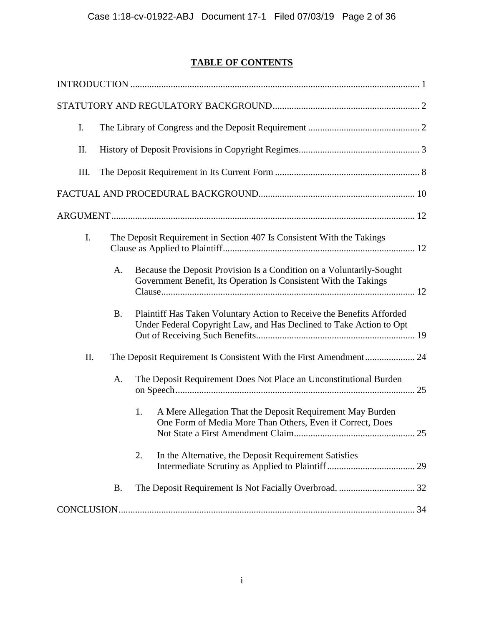# **TABLE OF CONTENTS**

| I.  |           |                                                                                                                                              |  |
|-----|-----------|----------------------------------------------------------------------------------------------------------------------------------------------|--|
| II. |           |                                                                                                                                              |  |
| Ш.  |           |                                                                                                                                              |  |
|     |           |                                                                                                                                              |  |
|     |           |                                                                                                                                              |  |
| I.  |           | The Deposit Requirement in Section 407 Is Consistent With the Takings                                                                        |  |
|     | A.        | Because the Deposit Provision Is a Condition on a Voluntarily-Sought<br>Government Benefit, Its Operation Is Consistent With the Takings     |  |
|     | <b>B.</b> | Plaintiff Has Taken Voluntary Action to Receive the Benefits Afforded<br>Under Federal Copyright Law, and Has Declined to Take Action to Opt |  |
| II. |           |                                                                                                                                              |  |
|     | A.        | The Deposit Requirement Does Not Place an Unconstitutional Burden                                                                            |  |
|     |           | A Mere Allegation That the Deposit Requirement May Burden<br>1.<br>One Form of Media More Than Others, Even if Correct, Does                 |  |
|     |           | 2.<br>In the Alternative, the Deposit Requirement Satisfies                                                                                  |  |
|     | <b>B.</b> |                                                                                                                                              |  |
|     |           |                                                                                                                                              |  |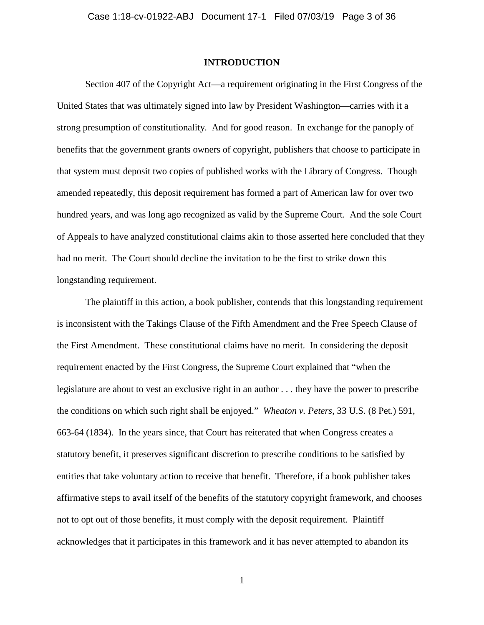# **INTRODUCTION**

Section 407 of the Copyright Act—a requirement originating in the First Congress of the United States that was ultimately signed into law by President Washington—carries with it a strong presumption of constitutionality. And for good reason. In exchange for the panoply of benefits that the government grants owners of copyright, publishers that choose to participate in that system must deposit two copies of published works with the Library of Congress. Though amended repeatedly, this deposit requirement has formed a part of American law for over two hundred years, and was long ago recognized as valid by the Supreme Court. And the sole Court of Appeals to have analyzed constitutional claims akin to those asserted here concluded that they had no merit. The Court should decline the invitation to be the first to strike down this longstanding requirement.

The plaintiff in this action, a book publisher, contends that this longstanding requirement is inconsistent with the Takings Clause of the Fifth Amendment and the Free Speech Clause of the First Amendment. These constitutional claims have no merit. In considering the deposit requirement enacted by the First Congress, the Supreme Court explained that "when the legislature are about to vest an exclusive right in an author . . . they have the power to prescribe the conditions on which such right shall be enjoyed." *Wheaton v. Peters*, 33 U.S. (8 Pet.) 591, 663-64 (1834). In the years since, that Court has reiterated that when Congress creates a statutory benefit, it preserves significant discretion to prescribe conditions to be satisfied by entities that take voluntary action to receive that benefit. Therefore, if a book publisher takes affirmative steps to avail itself of the benefits of the statutory copyright framework, and chooses not to opt out of those benefits, it must comply with the deposit requirement. Plaintiff acknowledges that it participates in this framework and it has never attempted to abandon its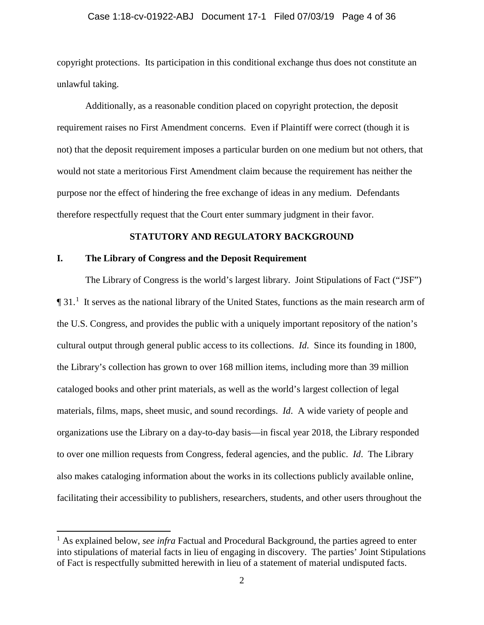# Case 1:18-cv-01922-ABJ Document 17-1 Filed 07/03/19 Page 4 of 36

copyright protections. Its participation in this conditional exchange thus does not constitute an unlawful taking.

Additionally, as a reasonable condition placed on copyright protection, the deposit requirement raises no First Amendment concerns. Even if Plaintiff were correct (though it is not) that the deposit requirement imposes a particular burden on one medium but not others, that would not state a meritorious First Amendment claim because the requirement has neither the purpose nor the effect of hindering the free exchange of ideas in any medium. Defendants therefore respectfully request that the Court enter summary judgment in their favor.

# **STATUTORY AND REGULATORY BACKGROUND**

# **I. The Library of Congress and the Deposit Requirement**

 $\overline{\phantom{a}}$ 

The Library of Congress is the world's largest library. Joint Stipulations of Fact ("JSF")  $\P$  3[1](#page-3-0).<sup>1</sup> It serves as the national library of the United States, functions as the main research arm of the U.S. Congress, and provides the public with a uniquely important repository of the nation's cultural output through general public access to its collections. *Id*. Since its founding in 1800, the Library's collection has grown to over 168 million items, including more than 39 million cataloged books and other print materials, as well as the world's largest collection of legal materials, films, maps, sheet music, and sound recordings. *Id*. A wide variety of people and organizations use the Library on a day-to-day basis—in fiscal year 2018, the Library responded to over one million requests from Congress, federal agencies, and the public. *Id*. The Library also makes cataloging information about the works in its collections publicly available online, facilitating their accessibility to publishers, researchers, students, and other users throughout the

<span id="page-3-0"></span><sup>&</sup>lt;sup>1</sup> As explained below, *see infra* Factual and Procedural Background, the parties agreed to enter into stipulations of material facts in lieu of engaging in discovery. The parties' Joint Stipulations of Fact is respectfully submitted herewith in lieu of a statement of material undisputed facts.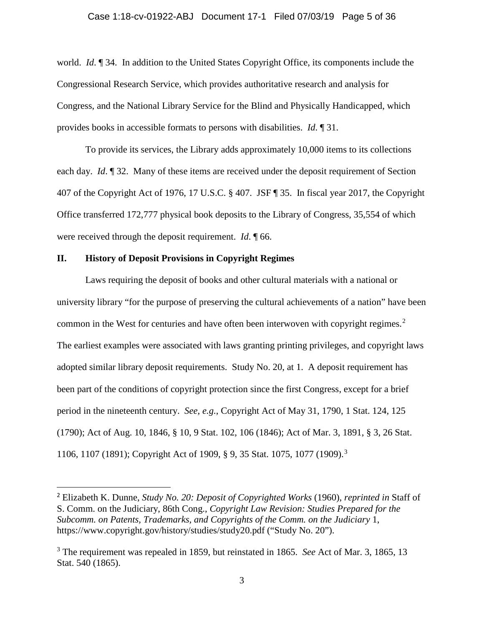world. *Id*. ¶ 34. In addition to the United States Copyright Office, its components include the Congressional Research Service, which provides authoritative research and analysis for Congress, and the National Library Service for the Blind and Physically Handicapped, which provides books in accessible formats to persons with disabilities. *Id*. ¶ 31.

To provide its services, the Library adds approximately 10,000 items to its collections each day. *Id*. ¶ 32. Many of these items are received under the deposit requirement of Section 407 of the Copyright Act of 1976, 17 U.S.C. § 407. JSF ¶ 35. In fiscal year 2017, the Copyright Office transferred 172,777 physical book deposits to the Library of Congress, 35,554 of which were received through the deposit requirement. *Id*. ¶ 66.

# **II. History of Deposit Provisions in Copyright Regimes**

Laws requiring the deposit of books and other cultural materials with a national or university library "for the purpose of preserving the cultural achievements of a nation" have been common in the West for centuries and have often been interwoven with copyright regimes. $2$ The earliest examples were associated with laws granting printing privileges, and copyright laws adopted similar library deposit requirements. Study No. 20, at 1. A deposit requirement has been part of the conditions of copyright protection since the first Congress, except for a brief period in the nineteenth century. *See*, *e.g.*, Copyright Act of May 31, 1790, 1 Stat. 124, 125 (1790); Act of Aug. 10, 1846, § 10, 9 Stat. 102, 106 (1846); Act of Mar. 3, 1891, § 3, 26 Stat. 1106, 1107 (1891); Copyright Act of 1909, § 9, 35 Stat. 1075, 1077 (1909).[3](#page-4-1)

<span id="page-4-0"></span> <sup>2</sup> Elizabeth K. Dunne, *Study No. 20: Deposit of Copyrighted Works* (1960), *reprinted in* Staff of S. Comm. on the Judiciary, 86th Cong., *Copyright Law Revision: Studies Prepared for the Subcomm. on Patents, Trademarks, and Copyrights of the Comm. on the Judiciary 1,* https://www.copyright.gov/history/studies/study20.pdf ("Study No. 20").

<span id="page-4-1"></span><sup>3</sup> The requirement was repealed in 1859, but reinstated in 1865. *See* Act of Mar. 3, 1865, 13 Stat. 540 (1865).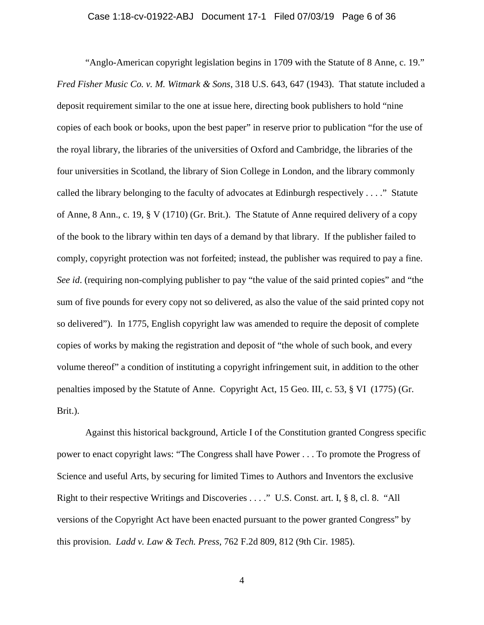"Anglo-American copyright legislation begins in 1709 with the Statute of 8 Anne, c. 19." *Fred Fisher Music Co. v. M. Witmark & Sons*, 318 U.S. 643, 647 (1943). That statute included a deposit requirement similar to the one at issue here, directing book publishers to hold "nine copies of each book or books, upon the best paper" in reserve prior to publication "for the use of the royal library, the libraries of the universities of Oxford and Cambridge, the libraries of the four universities in Scotland, the library of Sion College in London, and the library commonly called the library belonging to the faculty of advocates at Edinburgh respectively . . . ." Statute of Anne, 8 Ann., c. 19, § V (1710) (Gr. Brit.). The Statute of Anne required delivery of a copy of the book to the library within ten days of a demand by that library. If the publisher failed to comply, copyright protection was not forfeited; instead, the publisher was required to pay a fine. *See id.* (requiring non-complying publisher to pay "the value of the said printed copies" and "the sum of five pounds for every copy not so delivered, as also the value of the said printed copy not so delivered"). In 1775, English copyright law was amended to require the deposit of complete copies of works by making the registration and deposit of "the whole of such book, and every volume thereof" a condition of instituting a copyright infringement suit, in addition to the other penalties imposed by the Statute of Anne. Copyright Act, 15 Geo. III, c. 53, § VI (1775) (Gr. Brit.).

Against this historical background, Article I of the Constitution granted Congress specific power to enact copyright laws: "The Congress shall have Power . . . To promote the Progress of Science and useful Arts, by securing for limited Times to Authors and Inventors the exclusive Right to their respective Writings and Discoveries . . . ." U.S. Const. art. I, § 8, cl. 8. "All versions of the Copyright Act have been enacted pursuant to the power granted Congress" by this provision. *Ladd v. Law & Tech. Press*, 762 F.2d 809, 812 (9th Cir. 1985).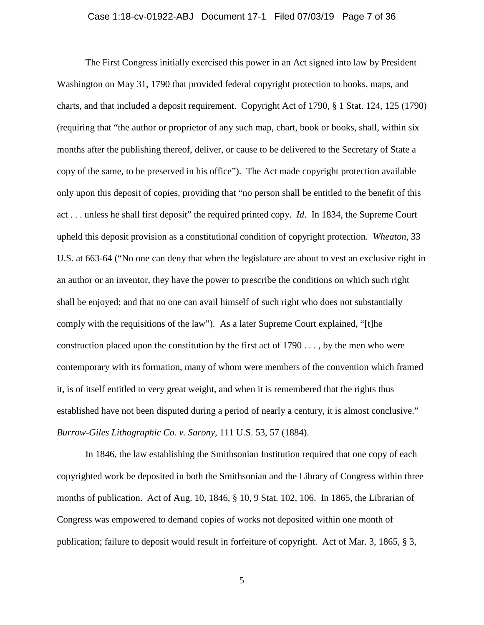# Case 1:18-cv-01922-ABJ Document 17-1 Filed 07/03/19 Page 7 of 36

The First Congress initially exercised this power in an Act signed into law by President Washington on May 31, 1790 that provided federal copyright protection to books, maps, and charts, and that included a deposit requirement. Copyright Act of 1790, § 1 Stat. 124, 125 (1790) (requiring that "the author or proprietor of any such map, chart, book or books, shall, within six months after the publishing thereof, deliver, or cause to be delivered to the Secretary of State a copy of the same, to be preserved in his office"). The Act made copyright protection available only upon this deposit of copies, providing that "no person shall be entitled to the benefit of this act . . . unless he shall first deposit" the required printed copy. *Id*. In 1834, the Supreme Court upheld this deposit provision as a constitutional condition of copyright protection. *Wheaton*, 33 U.S. at 663-64 ("No one can deny that when the legislature are about to vest an exclusive right in an author or an inventor, they have the power to prescribe the conditions on which such right shall be enjoyed; and that no one can avail himself of such right who does not substantially comply with the requisitions of the law"). As a later Supreme Court explained, "[t]he construction placed upon the constitution by the first act of  $1790...$ , by the men who were contemporary with its formation, many of whom were members of the convention which framed it, is of itself entitled to very great weight, and when it is remembered that the rights thus established have not been disputed during a period of nearly a century, it is almost conclusive." *Burrow-Giles Lithographic Co. v. Sarony*, 111 U.S. 53, 57 (1884).

In 1846, the law establishing the Smithsonian Institution required that one copy of each copyrighted work be deposited in both the Smithsonian and the Library of Congress within three months of publication. Act of Aug. 10, 1846, § 10, 9 Stat. 102, 106. In 1865, the Librarian of Congress was empowered to demand copies of works not deposited within one month of publication; failure to deposit would result in forfeiture of copyright. Act of Mar. 3, 1865, § 3,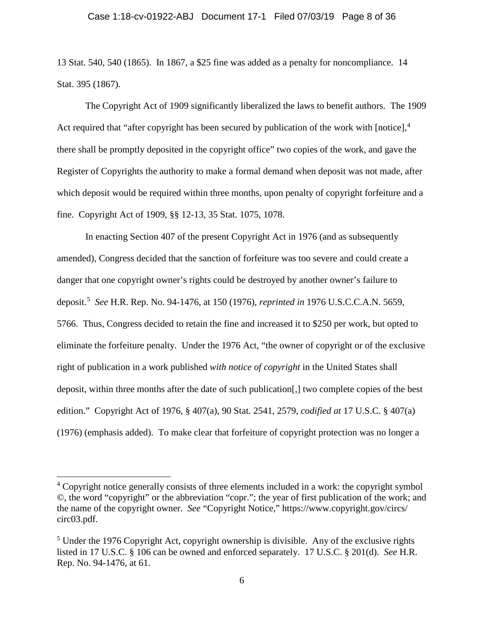## Case 1:18-cv-01922-ABJ Document 17-1 Filed 07/03/19 Page 8 of 36

13 Stat. 540, 540 (1865). In 1867, a \$25 fine was added as a penalty for noncompliance. 14 Stat. 395 (1867).

The Copyright Act of 1909 significantly liberalized the laws to benefit authors. The 1909 Act required that "after copyright has been secured by publication of the work with  $[{\rm notice}]$ ,  $4$ there shall be promptly deposited in the copyright office" two copies of the work, and gave the Register of Copyrights the authority to make a formal demand when deposit was not made, after which deposit would be required within three months, upon penalty of copyright forfeiture and a fine. Copyright Act of 1909, §§ 12-13, 35 Stat. 1075, 1078.

In enacting Section 407 of the present Copyright Act in 1976 (and as subsequently amended), Congress decided that the sanction of forfeiture was too severe and could create a danger that one copyright owner's rights could be destroyed by another owner's failure to deposit. [5](#page-7-1) *See* H.R. Rep. No. 94-1476, at 150 (1976), *reprinted in* 1976 U.S.C.C.A.N. 5659, 5766. Thus, Congress decided to retain the fine and increased it to \$250 per work, but opted to eliminate the forfeiture penalty. Under the 1976 Act, "the owner of copyright or of the exclusive right of publication in a work published *with notice of copyright* in the United States shall deposit, within three months after the date of such publication[,] two complete copies of the best edition." Copyright Act of 1976, § 407(a), 90 Stat. 2541, 2579, *codified at* 17 U.S.C. § 407(a) (1976) (emphasis added). To make clear that forfeiture of copyright protection was no longer a

 $\overline{\phantom{a}}$ 

<span id="page-7-0"></span><sup>&</sup>lt;sup>4</sup> Copyright notice generally consists of three elements included in a work: the copyright symbol ©, the word "copyright" or the abbreviation "copr."; the year of first publication of the work; and the name of the copyright owner. *See* "Copyright Notice," https://www.copyright.gov/circs/ circ03.pdf.

<span id="page-7-1"></span> $<sup>5</sup>$  Under the 1976 Copyright Act, copyright ownership is divisible. Any of the exclusive rights</sup> listed in 17 U.S.C. § 106 can be owned and enforced separately. 17 U.S.C. § 201(d). *See* H.R. Rep. No. 94-1476, at 61.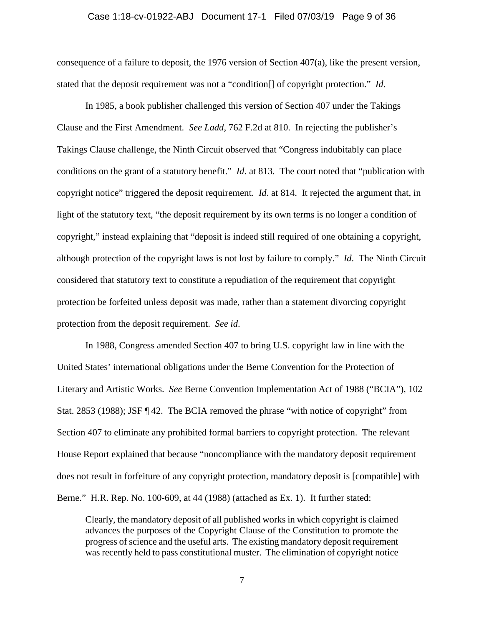#### Case 1:18-cv-01922-ABJ Document 17-1 Filed 07/03/19 Page 9 of 36

consequence of a failure to deposit, the 1976 version of Section 407(a), like the present version, stated that the deposit requirement was not a "condition[] of copyright protection." *Id*.

In 1985, a book publisher challenged this version of Section 407 under the Takings Clause and the First Amendment. *See Ladd*, 762 F.2d at 810. In rejecting the publisher's Takings Clause challenge, the Ninth Circuit observed that "Congress indubitably can place conditions on the grant of a statutory benefit." *Id*. at 813. The court noted that "publication with copyright notice" triggered the deposit requirement. *Id*. at 814. It rejected the argument that, in light of the statutory text, "the deposit requirement by its own terms is no longer a condition of copyright," instead explaining that "deposit is indeed still required of one obtaining a copyright, although protection of the copyright laws is not lost by failure to comply." *Id*. The Ninth Circuit considered that statutory text to constitute a repudiation of the requirement that copyright protection be forfeited unless deposit was made, rather than a statement divorcing copyright protection from the deposit requirement. *See id*.

In 1988, Congress amended Section 407 to bring U.S. copyright law in line with the United States' international obligations under the Berne Convention for the Protection of Literary and Artistic Works. *See* Berne Convention Implementation Act of 1988 ("BCIA"), 102 Stat. 2853 (1988); JSF ¶ 42. The BCIA removed the phrase "with notice of copyright" from Section 407 to eliminate any prohibited formal barriers to copyright protection. The relevant House Report explained that because "noncompliance with the mandatory deposit requirement does not result in forfeiture of any copyright protection, mandatory deposit is [compatible] with Berne." H.R. Rep. No. 100-609, at 44 (1988) (attached as Ex. 1). It further stated:

Clearly, the mandatory deposit of all published works in which copyright is claimed advances the purposes of the Copyright Clause of the Constitution to promote the progress of science and the useful arts. The existing mandatory deposit requirement was recently held to pass constitutional muster. The elimination of copyright notice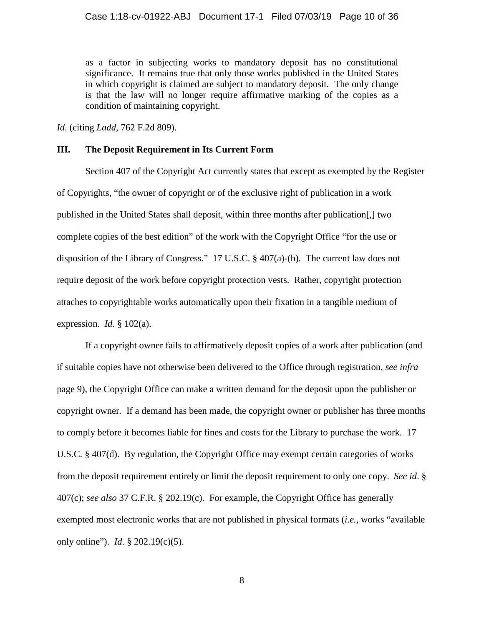as a factor in subjecting works to mandatory deposit has no constitutional significance. It remains true that only those works published in the United States in which copyright is claimed are subject to mandatory deposit. The only change is that the law will no longer require affirmative marking of the copies as a condition of maintaining copyright.

*Id*. (citing *Ladd*, 762 F.2d 809).

# **III. The Deposit Requirement in Its Current Form**

Section 407 of the Copyright Act currently states that except as exempted by the Register of Copyrights, "the owner of copyright or of the exclusive right of publication in a work published in the United States shall deposit, within three months after publication[,] two complete copies of the best edition" of the work with the Copyright Office "for the use or disposition of the Library of Congress." 17 U.S.C. § 407(a)-(b). The current law does not require deposit of the work before copyright protection vests. Rather, copyright protection attaches to copyrightable works automatically upon their fixation in a tangible medium of expression. *Id*. § 102(a).

If a copyright owner fails to affirmatively deposit copies of a work after publication (and if suitable copies have not otherwise been delivered to the Office through registration, *see infra* page 9), the Copyright Office can make a written demand for the deposit upon the publisher or copyright owner. If a demand has been made, the copyright owner or publisher has three months to comply before it becomes liable for fines and costs for the Library to purchase the work. 17 U.S.C*.* § 407(d). By regulation, the Copyright Office may exempt certain categories of works from the deposit requirement entirely or limit the deposit requirement to only one copy. *See id*. § 407(c); *see also* 37 C.F.R. § 202.19(c). For example, the Copyright Office has generally exempted most electronic works that are not published in physical formats (*i.e.*, works "available only online"). *Id*. § 202.19(c)(5).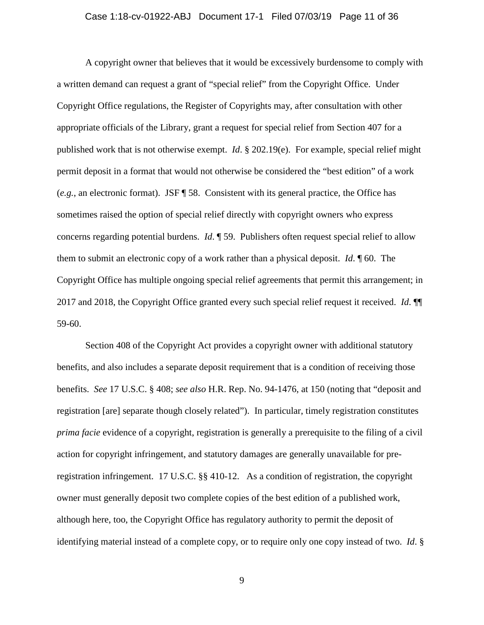# Case 1:18-cv-01922-ABJ Document 17-1 Filed 07/03/19 Page 11 of 36

A copyright owner that believes that it would be excessively burdensome to comply with a written demand can request a grant of "special relief" from the Copyright Office. Under Copyright Office regulations, the Register of Copyrights may, after consultation with other appropriate officials of the Library, grant a request for special relief from Section 407 for a published work that is not otherwise exempt. *Id*. § 202.19(e). For example, special relief might permit deposit in a format that would not otherwise be considered the "best edition" of a work (*e.g.*, an electronic format). JSF ¶ 58. Consistent with its general practice, the Office has sometimes raised the option of special relief directly with copyright owners who express concerns regarding potential burdens. *Id*. ¶ 59. Publishers often request special relief to allow them to submit an electronic copy of a work rather than a physical deposit. *Id*. ¶ 60. The Copyright Office has multiple ongoing special relief agreements that permit this arrangement; in 2017 and 2018, the Copyright Office granted every such special relief request it received. *Id*. ¶¶ 59-60.

Section 408 of the Copyright Act provides a copyright owner with additional statutory benefits, and also includes a separate deposit requirement that is a condition of receiving those benefits. *See* 17 U.S.C. § 408; *see also* H.R. Rep. No. 94-1476, at 150 (noting that "deposit and registration [are] separate though closely related"). In particular, timely registration constitutes *prima facie* evidence of a copyright, registration is generally a prerequisite to the filing of a civil action for copyright infringement, and statutory damages are generally unavailable for preregistration infringement. 17 U.S.C. §§ 410-12. As a condition of registration, the copyright owner must generally deposit two complete copies of the best edition of a published work, although here, too, the Copyright Office has regulatory authority to permit the deposit of identifying material instead of a complete copy, or to require only one copy instead of two. *Id*. §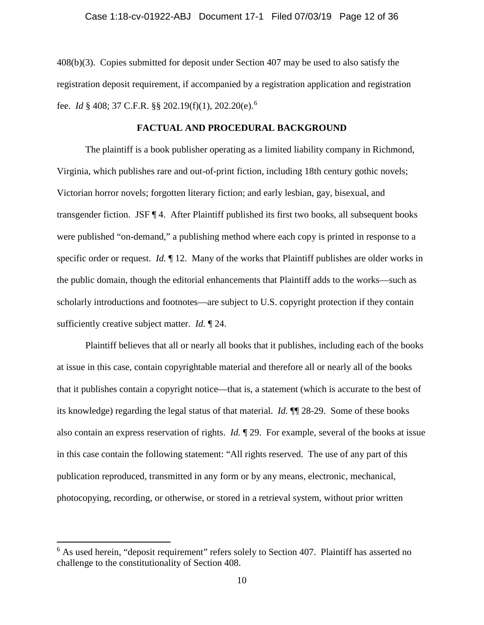408(b)(3). Copies submitted for deposit under Section 407 may be used to also satisfy the registration deposit requirement, if accompanied by a registration application and registration fee. *Id* § 408; 37 C.F.R. §§ 202.19(f)(1), 202.20(e). [6](#page-11-0)

# **FACTUAL AND PROCEDURAL BACKGROUND**

The plaintiff is a book publisher operating as a limited liability company in Richmond, Virginia, which publishes rare and out-of-print fiction, including 18th century gothic novels; Victorian horror novels; forgotten literary fiction; and early lesbian, gay, bisexual, and transgender fiction. JSF ¶ 4. After Plaintiff published its first two books, all subsequent books were published "on-demand," a publishing method where each copy is printed in response to a specific order or request. *Id.* ¶ 12. Many of the works that Plaintiff publishes are older works in the public domain, though the editorial enhancements that Plaintiff adds to the works—such as scholarly introductions and footnotes—are subject to U.S. copyright protection if they contain sufficiently creative subject matter. *Id.* ¶ 24.

Plaintiff believes that all or nearly all books that it publishes, including each of the books at issue in this case, contain copyrightable material and therefore all or nearly all of the books that it publishes contain a copyright notice—that is, a statement (which is accurate to the best of its knowledge) regarding the legal status of that material. *Id.* ¶¶ 28-29. Some of these books also contain an express reservation of rights. *Id.* ¶ 29. For example, several of the books at issue in this case contain the following statement: "All rights reserved. The use of any part of this publication reproduced, transmitted in any form or by any means, electronic, mechanical, photocopying, recording, or otherwise, or stored in a retrieval system, without prior written

l

<span id="page-11-0"></span> $6$  As used herein, "deposit requirement" refers solely to Section 407. Plaintiff has asserted no challenge to the constitutionality of Section 408.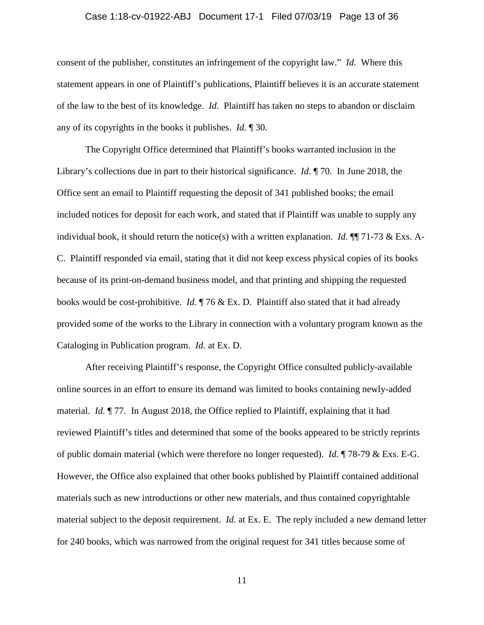# Case 1:18-cv-01922-ABJ Document 17-1 Filed 07/03/19 Page 13 of 36

consent of the publisher, constitutes an infringement of the copyright law." *Id.* Where this statement appears in one of Plaintiff's publications, Plaintiff believes it is an accurate statement of the law to the best of its knowledge. *Id.* Plaintiff has taken no steps to abandon or disclaim any of its copyrights in the books it publishes. *Id.* ¶ 30.

The Copyright Office determined that Plaintiff's books warranted inclusion in the Library's collections due in part to their historical significance. *Id*. ¶ 70. In June 2018, the Office sent an email to Plaintiff requesting the deposit of 341 published books; the email included notices for deposit for each work, and stated that if Plaintiff was unable to supply any individual book, it should return the notice(s) with a written explanation. *Id.* ¶¶ 71-73 & Exs. A-C. Plaintiff responded via email, stating that it did not keep excess physical copies of its books because of its print-on-demand business model, and that printing and shipping the requested books would be cost-prohibitive. *Id.* ¶ 76 & Ex. D. Plaintiff also stated that it had already provided some of the works to the Library in connection with a voluntary program known as the Cataloging in Publication program. *Id.* at Ex. D.

After receiving Plaintiff's response, the Copyright Office consulted publicly-available online sources in an effort to ensure its demand was limited to books containing newly-added material. *Id.* ¶ 77. In August 2018, the Office replied to Plaintiff, explaining that it had reviewed Plaintiff's titles and determined that some of the books appeared to be strictly reprints of public domain material (which were therefore no longer requested). *Id.* ¶ 78-79 & Exs. E-G. However, the Office also explained that other books published by Plaintiff contained additional materials such as new introductions or other new materials, and thus contained copyrightable material subject to the deposit requirement. *Id.* at Ex. E. The reply included a new demand letter for 240 books, which was narrowed from the original request for 341 titles because some of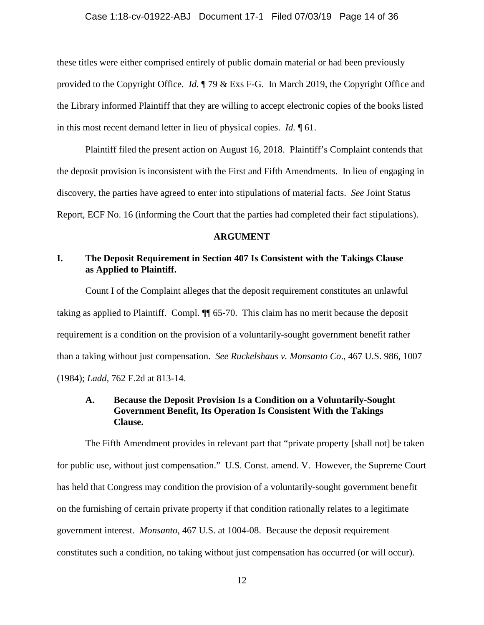# Case 1:18-cv-01922-ABJ Document 17-1 Filed 07/03/19 Page 14 of 36

these titles were either comprised entirely of public domain material or had been previously provided to the Copyright Office. *Id.* ¶ 79 & Exs F-G. In March 2019, the Copyright Office and the Library informed Plaintiff that they are willing to accept electronic copies of the books listed in this most recent demand letter in lieu of physical copies. *Id.* ¶ 61.

Plaintiff filed the present action on August 16, 2018. Plaintiff's Complaint contends that the deposit provision is inconsistent with the First and Fifth Amendments. In lieu of engaging in discovery, the parties have agreed to enter into stipulations of material facts. *See* Joint Status Report, ECF No. 16 (informing the Court that the parties had completed their fact stipulations).

# **ARGUMENT**

# **I. The Deposit Requirement in Section 407 Is Consistent with the Takings Clause as Applied to Plaintiff.**

Count I of the Complaint alleges that the deposit requirement constitutes an unlawful taking as applied to Plaintiff. Compl. ¶¶ 65-70. This claim has no merit because the deposit requirement is a condition on the provision of a voluntarily-sought government benefit rather than a taking without just compensation. *See Ruckelshaus v. Monsanto Co*., 467 U.S. 986, 1007 (1984); *Ladd*, 762 F.2d at 813-14.

# **A. Because the Deposit Provision Is a Condition on a Voluntarily-Sought Government Benefit, Its Operation Is Consistent With the Takings Clause.**

The Fifth Amendment provides in relevant part that "private property [shall not] be taken for public use, without just compensation." U.S. Const. amend. V. However, the Supreme Court has held that Congress may condition the provision of a voluntarily-sought government benefit on the furnishing of certain private property if that condition rationally relates to a legitimate government interest. *Monsanto*, 467 U.S. at 1004-08. Because the deposit requirement constitutes such a condition, no taking without just compensation has occurred (or will occur).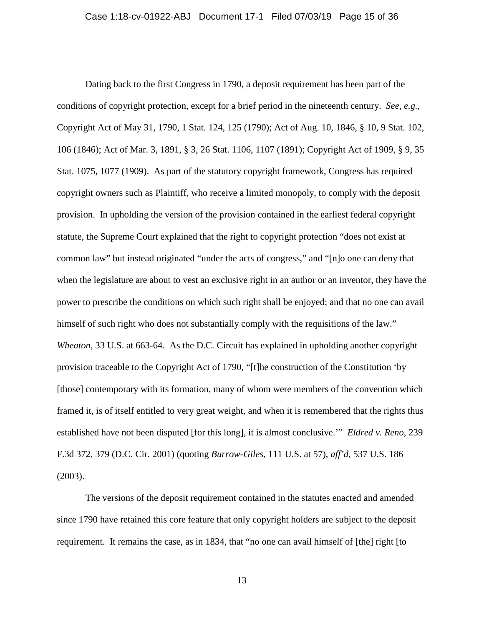Dating back to the first Congress in 1790, a deposit requirement has been part of the conditions of copyright protection, except for a brief period in the nineteenth century. *See, e.g.*, Copyright Act of May 31, 1790, 1 Stat. 124, 125 (1790); Act of Aug. 10, 1846, § 10, 9 Stat. 102, 106 (1846); Act of Mar. 3, 1891, § 3, 26 Stat. 1106, 1107 (1891); Copyright Act of 1909, § 9, 35 Stat. 1075, 1077 (1909). As part of the statutory copyright framework, Congress has required copyright owners such as Plaintiff, who receive a limited monopoly, to comply with the deposit provision. In upholding the version of the provision contained in the earliest federal copyright statute, the Supreme Court explained that the right to copyright protection "does not exist at common law" but instead originated "under the acts of congress," and "[n]o one can deny that when the legislature are about to vest an exclusive right in an author or an inventor, they have the power to prescribe the conditions on which such right shall be enjoyed; and that no one can avail himself of such right who does not substantially comply with the requisitions of the law." *Wheaton*, 33 U.S. at 663-64. As the D.C. Circuit has explained in upholding another copyright provision traceable to the Copyright Act of 1790, "[t]he construction of the Constitution 'by [those] contemporary with its formation, many of whom were members of the convention which framed it, is of itself entitled to very great weight, and when it is remembered that the rights thus established have not been disputed [for this long], it is almost conclusive.'" *Eldred v. Reno*, 239 F.3d 372, 379 (D.C. Cir. 2001) (quoting *Burrow-Giles*, 111 U.S. at 57), *aff'd*, 537 U.S. 186 (2003).

The versions of the deposit requirement contained in the statutes enacted and amended since 1790 have retained this core feature that only copyright holders are subject to the deposit requirement. It remains the case, as in 1834, that "no one can avail himself of [the] right [to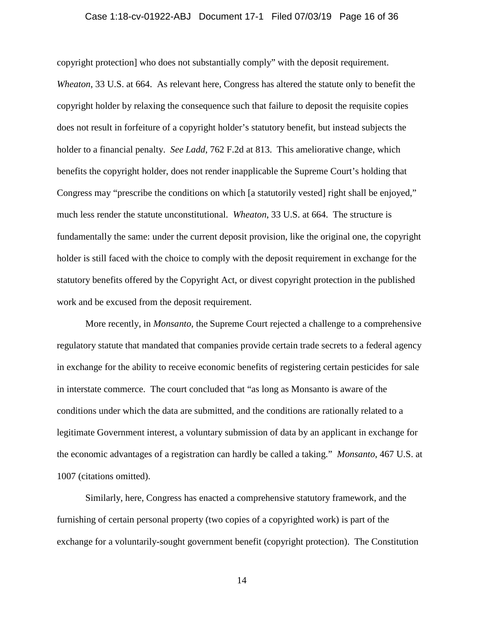## Case 1:18-cv-01922-ABJ Document 17-1 Filed 07/03/19 Page 16 of 36

copyright protection] who does not substantially comply" with the deposit requirement. *Wheaton*, 33 U.S. at 664. As relevant here, Congress has altered the statute only to benefit the copyright holder by relaxing the consequence such that failure to deposit the requisite copies does not result in forfeiture of a copyright holder's statutory benefit, but instead subjects the holder to a financial penalty. *See Ladd*, 762 F.2d at 813. This ameliorative change, which benefits the copyright holder, does not render inapplicable the Supreme Court's holding that Congress may "prescribe the conditions on which [a statutorily vested] right shall be enjoyed," much less render the statute unconstitutional. *Wheaton*, 33 U.S. at 664. The structure is fundamentally the same: under the current deposit provision, like the original one, the copyright holder is still faced with the choice to comply with the deposit requirement in exchange for the statutory benefits offered by the Copyright Act, or divest copyright protection in the published work and be excused from the deposit requirement.

More recently, in *Monsanto*, the Supreme Court rejected a challenge to a comprehensive regulatory statute that mandated that companies provide certain trade secrets to a federal agency in exchange for the ability to receive economic benefits of registering certain pesticides for sale in interstate commerce. The court concluded that "as long as Monsanto is aware of the conditions under which the data are submitted, and the conditions are rationally related to a legitimate Government interest, a voluntary submission of data by an applicant in exchange for the economic advantages of a registration can hardly be called a taking." *Monsanto*, 467 U.S. at 1007 (citations omitted).

Similarly, here, Congress has enacted a comprehensive statutory framework, and the furnishing of certain personal property (two copies of a copyrighted work) is part of the exchange for a voluntarily-sought government benefit (copyright protection). The Constitution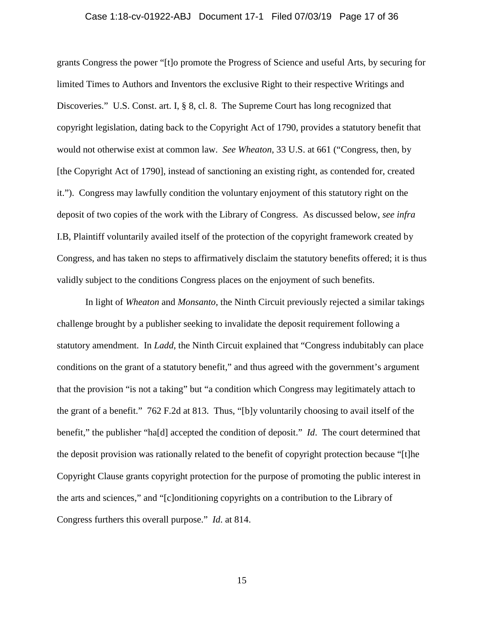# Case 1:18-cv-01922-ABJ Document 17-1 Filed 07/03/19 Page 17 of 36

grants Congress the power "[t]o promote the Progress of Science and useful Arts, by securing for limited Times to Authors and Inventors the exclusive Right to their respective Writings and Discoveries." U.S. Const. art. I, § 8, cl. 8. The Supreme Court has long recognized that copyright legislation, dating back to the Copyright Act of 1790, provides a statutory benefit that would not otherwise exist at common law. *See Wheaton*, 33 U.S. at 661 ("Congress, then, by [the Copyright Act of 1790], instead of sanctioning an existing right, as contended for, created it."). Congress may lawfully condition the voluntary enjoyment of this statutory right on the deposit of two copies of the work with the Library of Congress. As discussed below, *see infra* I.B, Plaintiff voluntarily availed itself of the protection of the copyright framework created by Congress, and has taken no steps to affirmatively disclaim the statutory benefits offered; it is thus validly subject to the conditions Congress places on the enjoyment of such benefits.

In light of *Wheaton* and *Monsanto*, the Ninth Circuit previously rejected a similar takings challenge brought by a publisher seeking to invalidate the deposit requirement following a statutory amendment. In *Ladd*, the Ninth Circuit explained that "Congress indubitably can place conditions on the grant of a statutory benefit," and thus agreed with the government's argument that the provision "is not a taking" but "a condition which Congress may legitimately attach to the grant of a benefit." 762 F.2d at 813. Thus, "[b]y voluntarily choosing to avail itself of the benefit," the publisher "ha[d] accepted the condition of deposit." *Id*. The court determined that the deposit provision was rationally related to the benefit of copyright protection because "[t]he Copyright Clause grants copyright protection for the purpose of promoting the public interest in the arts and sciences," and "[c]onditioning copyrights on a contribution to the Library of Congress furthers this overall purpose." *Id*. at 814.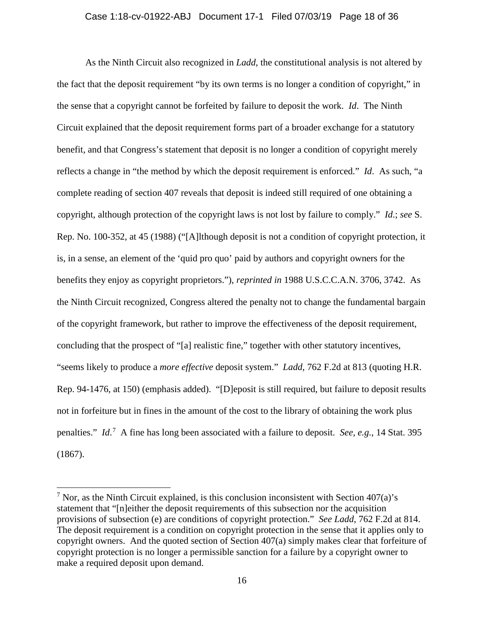# Case 1:18-cv-01922-ABJ Document 17-1 Filed 07/03/19 Page 18 of 36

As the Ninth Circuit also recognized in *Ladd*, the constitutional analysis is not altered by the fact that the deposit requirement "by its own terms is no longer a condition of copyright," in the sense that a copyright cannot be forfeited by failure to deposit the work. *Id*. The Ninth Circuit explained that the deposit requirement forms part of a broader exchange for a statutory benefit, and that Congress's statement that deposit is no longer a condition of copyright merely reflects a change in "the method by which the deposit requirement is enforced." *Id*. As such, "a complete reading of section 407 reveals that deposit is indeed still required of one obtaining a copyright, although protection of the copyright laws is not lost by failure to comply." *Id*.; *see* S. Rep. No. 100-352, at 45 (1988) ("[A]lthough deposit is not a condition of copyright protection, it is, in a sense, an element of the 'quid pro quo' paid by authors and copyright owners for the benefits they enjoy as copyright proprietors."), *reprinted in* 1988 U.S.C.C.A.N. 3706, 3742. As the Ninth Circuit recognized, Congress altered the penalty not to change the fundamental bargain of the copyright framework, but rather to improve the effectiveness of the deposit requirement, concluding that the prospect of "[a] realistic fine," together with other statutory incentives, "seems likely to produce a *more effective* deposit system." *Ladd*, 762 F.2d at 813 (quoting H.R. Rep. 94-1476, at 150) (emphasis added). "[D]eposit is still required, but failure to deposit results not in forfeiture but in fines in the amount of the cost to the library of obtaining the work plus penalties." *Id.*<sup>[7](#page-17-0)</sup> A fine has long been associated with a failure to deposit. *See, e.g.*, 14 Stat. 395 (1867).

l

<span id="page-17-0"></span><sup>&</sup>lt;sup>7</sup> Nor, as the Ninth Circuit explained, is this conclusion inconsistent with Section 407(a)'s statement that "[n]either the deposit requirements of this subsection nor the acquisition provisions of subsection (e) are conditions of copyright protection." *See Ladd*, 762 F.2d at 814. The deposit requirement is a condition on copyright protection in the sense that it applies only to copyright owners. And the quoted section of Section 407(a) simply makes clear that forfeiture of copyright protection is no longer a permissible sanction for a failure by a copyright owner to make a required deposit upon demand.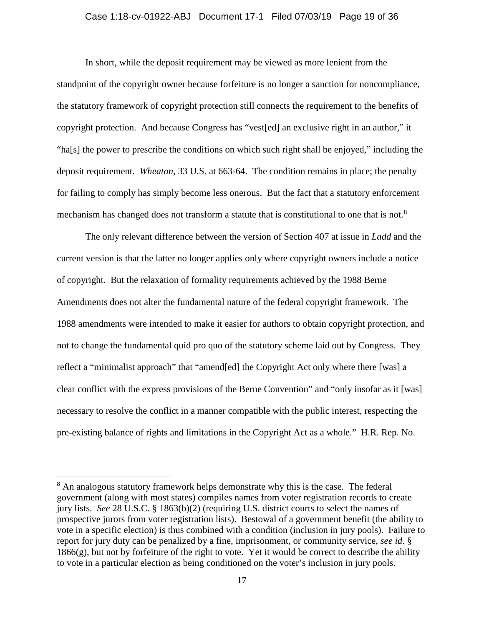# Case 1:18-cv-01922-ABJ Document 17-1 Filed 07/03/19 Page 19 of 36

In short, while the deposit requirement may be viewed as more lenient from the standpoint of the copyright owner because forfeiture is no longer a sanction for noncompliance, the statutory framework of copyright protection still connects the requirement to the benefits of copyright protection. And because Congress has "vest[ed] an exclusive right in an author," it "ha[s] the power to prescribe the conditions on which such right shall be enjoyed," including the deposit requirement. *Wheaton*, 33 U.S. at 663-64. The condition remains in place; the penalty for failing to comply has simply become less onerous. But the fact that a statutory enforcement mechanism has changed does not transform a statute that is constitutional to one that is not.<sup>[8](#page-18-0)</sup>

The only relevant difference between the version of Section 407 at issue in *Ladd* and the current version is that the latter no longer applies only where copyright owners include a notice of copyright. But the relaxation of formality requirements achieved by the 1988 Berne Amendments does not alter the fundamental nature of the federal copyright framework. The 1988 amendments were intended to make it easier for authors to obtain copyright protection, and not to change the fundamental quid pro quo of the statutory scheme laid out by Congress. They reflect a "minimalist approach" that "amend[ed] the Copyright Act only where there [was] a clear conflict with the express provisions of the Berne Convention" and "only insofar as it [was] necessary to resolve the conflict in a manner compatible with the public interest, respecting the pre-existing balance of rights and limitations in the Copyright Act as a whole." H.R. Rep. No.

 $\overline{\phantom{a}}$ 

<span id="page-18-0"></span><sup>&</sup>lt;sup>8</sup> An analogous statutory framework helps demonstrate why this is the case. The federal government (along with most states) compiles names from voter registration records to create jury lists. *See* 28 U.S.C. § 1863(b)(2) (requiring U.S. district courts to select the names of prospective jurors from voter registration lists). Bestowal of a government benefit (the ability to vote in a specific election) is thus combined with a condition (inclusion in jury pools). Failure to report for jury duty can be penalized by a fine, imprisonment, or community service, *see id*. § 1866(g), but not by forfeiture of the right to vote. Yet it would be correct to describe the ability to vote in a particular election as being conditioned on the voter's inclusion in jury pools.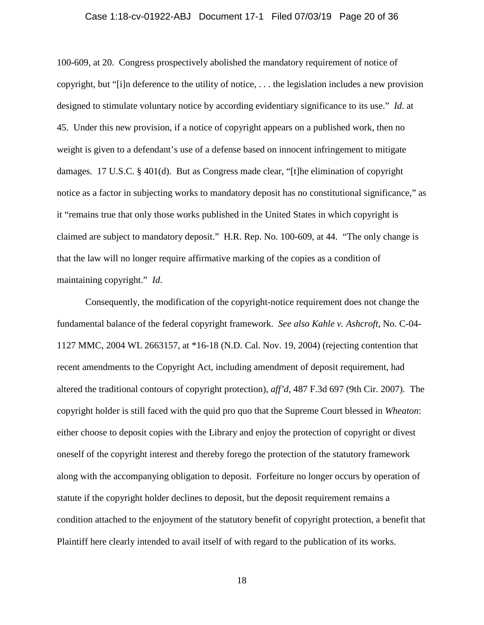## Case 1:18-cv-01922-ABJ Document 17-1 Filed 07/03/19 Page 20 of 36

100-609, at 20. Congress prospectively abolished the mandatory requirement of notice of copyright, but "[i]n deference to the utility of notice, . . . the legislation includes a new provision designed to stimulate voluntary notice by according evidentiary significance to its use." *Id*. at 45. Under this new provision, if a notice of copyright appears on a published work, then no weight is given to a defendant's use of a defense based on innocent infringement to mitigate damages. 17 U.S.C. § 401(d). But as Congress made clear, "[t]he elimination of copyright notice as a factor in subjecting works to mandatory deposit has no constitutional significance," as it "remains true that only those works published in the United States in which copyright is claimed are subject to mandatory deposit." H.R. Rep. No. 100-609, at 44. "The only change is that the law will no longer require affirmative marking of the copies as a condition of maintaining copyright." *Id*.

Consequently, the modification of the copyright-notice requirement does not change the fundamental balance of the federal copyright framework. *See also Kahle v. Ashcroft*, No. C-04- 1127 MMC, 2004 WL 2663157, at \*16-18 (N.D. Cal. Nov. 19, 2004) (rejecting contention that recent amendments to the Copyright Act, including amendment of deposit requirement, had altered the traditional contours of copyright protection), *aff'd*, 487 F.3d 697 (9th Cir. 2007). The copyright holder is still faced with the quid pro quo that the Supreme Court blessed in *Wheaton*: either choose to deposit copies with the Library and enjoy the protection of copyright or divest oneself of the copyright interest and thereby forego the protection of the statutory framework along with the accompanying obligation to deposit. Forfeiture no longer occurs by operation of statute if the copyright holder declines to deposit, but the deposit requirement remains a condition attached to the enjoyment of the statutory benefit of copyright protection, a benefit that Plaintiff here clearly intended to avail itself of with regard to the publication of its works.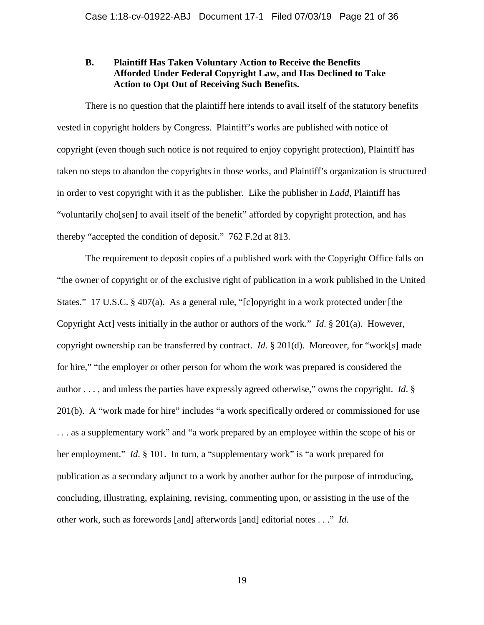# **B. Plaintiff Has Taken Voluntary Action to Receive the Benefits Afforded Under Federal Copyright Law, and Has Declined to Take Action to Opt Out of Receiving Such Benefits.**

There is no question that the plaintiff here intends to avail itself of the statutory benefits vested in copyright holders by Congress. Plaintiff's works are published with notice of copyright (even though such notice is not required to enjoy copyright protection), Plaintiff has taken no steps to abandon the copyrights in those works, and Plaintiff's organization is structured in order to vest copyright with it as the publisher. Like the publisher in *Ladd*, Plaintiff has "voluntarily cho[sen] to avail itself of the benefit" afforded by copyright protection, and has thereby "accepted the condition of deposit." 762 F.2d at 813.

The requirement to deposit copies of a published work with the Copyright Office falls on "the owner of copyright or of the exclusive right of publication in a work published in the United States." 17 U.S.C. § 407(a). As a general rule, "[c]opyright in a work protected under [the Copyright Act] vests initially in the author or authors of the work." *Id*. § 201(a). However, copyright ownership can be transferred by contract. *Id*. § 201(d). Moreover, for "work[s] made for hire," "the employer or other person for whom the work was prepared is considered the author . . . , and unless the parties have expressly agreed otherwise," owns the copyright. *Id*. § 201(b). A "work made for hire" includes "a work specifically ordered or commissioned for use . . . as a supplementary work" and "a work prepared by an employee within the scope of his or her employment." *Id*. § 101. In turn, a "supplementary work" is "a work prepared for publication as a secondary adjunct to a work by another author for the purpose of introducing, concluding, illustrating, explaining, revising, commenting upon, or assisting in the use of the other work, such as forewords [and] afterwords [and] editorial notes . . ." *Id*.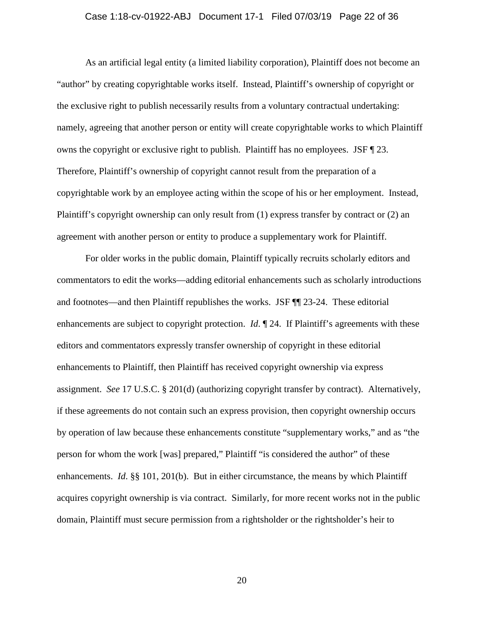## Case 1:18-cv-01922-ABJ Document 17-1 Filed 07/03/19 Page 22 of 36

As an artificial legal entity (a limited liability corporation), Plaintiff does not become an "author" by creating copyrightable works itself. Instead, Plaintiff's ownership of copyright or the exclusive right to publish necessarily results from a voluntary contractual undertaking: namely, agreeing that another person or entity will create copyrightable works to which Plaintiff owns the copyright or exclusive right to publish. Plaintiff has no employees. JSF ¶ 23. Therefore, Plaintiff's ownership of copyright cannot result from the preparation of a copyrightable work by an employee acting within the scope of his or her employment. Instead, Plaintiff's copyright ownership can only result from (1) express transfer by contract or (2) an agreement with another person or entity to produce a supplementary work for Plaintiff.

For older works in the public domain, Plaintiff typically recruits scholarly editors and commentators to edit the works—adding editorial enhancements such as scholarly introductions and footnotes—and then Plaintiff republishes the works. JSF ¶¶ 23-24. These editorial enhancements are subject to copyright protection. *Id*.  $\mathbb{I}$  24. If Plaintiff's agreements with these editors and commentators expressly transfer ownership of copyright in these editorial enhancements to Plaintiff, then Plaintiff has received copyright ownership via express assignment. *See* 17 U.S.C. § 201(d) (authorizing copyright transfer by contract). Alternatively, if these agreements do not contain such an express provision, then copyright ownership occurs by operation of law because these enhancements constitute "supplementary works," and as "the person for whom the work [was] prepared," Plaintiff "is considered the author" of these enhancements. *Id*. §§ 101, 201(b). But in either circumstance, the means by which Plaintiff acquires copyright ownership is via contract. Similarly, for more recent works not in the public domain, Plaintiff must secure permission from a rightsholder or the rightsholder's heir to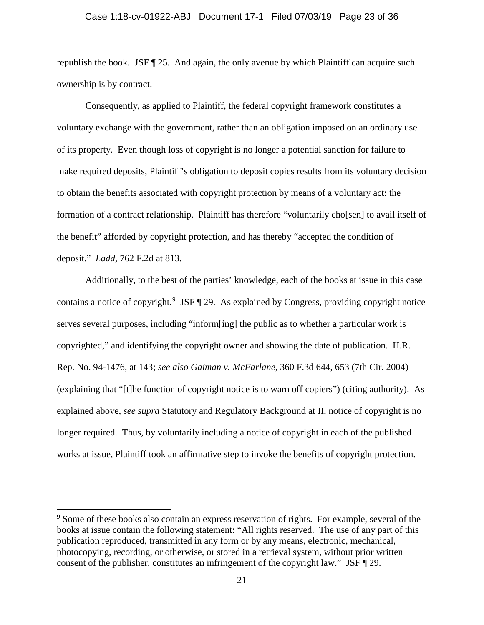# Case 1:18-cv-01922-ABJ Document 17-1 Filed 07/03/19 Page 23 of 36

republish the book. JSF  $\P$  25. And again, the only avenue by which Plaintiff can acquire such ownership is by contract.

Consequently, as applied to Plaintiff, the federal copyright framework constitutes a voluntary exchange with the government, rather than an obligation imposed on an ordinary use of its property. Even though loss of copyright is no longer a potential sanction for failure to make required deposits, Plaintiff's obligation to deposit copies results from its voluntary decision to obtain the benefits associated with copyright protection by means of a voluntary act: the formation of a contract relationship. Plaintiff has therefore "voluntarily cho[sen] to avail itself of the benefit" afforded by copyright protection, and has thereby "accepted the condition of deposit." *Ladd*, 762 F.2d at 813.

Additionally, to the best of the parties' knowledge, each of the books at issue in this case contains a notice of copyright.<sup>[9](#page-22-0)</sup> JSF 129. As explained by Congress, providing copyright notice serves several purposes, including "inform[ing] the public as to whether a particular work is copyrighted," and identifying the copyright owner and showing the date of publication. H.R. Rep. No. 94-1476, at 143; *see also Gaiman v. McFarlane*, 360 F.3d 644, 653 (7th Cir. 2004) (explaining that "[t]he function of copyright notice is to warn off copiers") (citing authority). As explained above, *see supra* Statutory and Regulatory Background at II, notice of copyright is no longer required. Thus, by voluntarily including a notice of copyright in each of the published works at issue, Plaintiff took an affirmative step to invoke the benefits of copyright protection.

 $\overline{a}$ 

<span id="page-22-0"></span><sup>&</sup>lt;sup>9</sup> Some of these books also contain an express reservation of rights. For example, several of the books at issue contain the following statement: "All rights reserved. The use of any part of this publication reproduced, transmitted in any form or by any means, electronic, mechanical, photocopying, recording, or otherwise, or stored in a retrieval system, without prior written consent of the publisher, constitutes an infringement of the copyright law." JSF ¶ 29.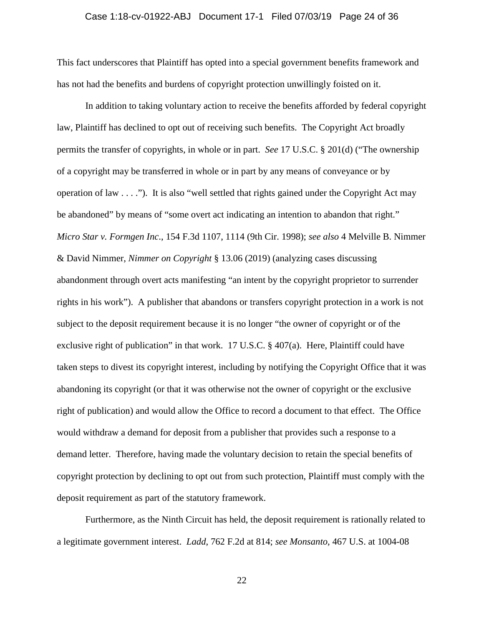# Case 1:18-cv-01922-ABJ Document 17-1 Filed 07/03/19 Page 24 of 36

This fact underscores that Plaintiff has opted into a special government benefits framework and has not had the benefits and burdens of copyright protection unwillingly foisted on it.

In addition to taking voluntary action to receive the benefits afforded by federal copyright law, Plaintiff has declined to opt out of receiving such benefits. The Copyright Act broadly permits the transfer of copyrights, in whole or in part. *See* 17 U.S.C. § 201(d) ("The ownership of a copyright may be transferred in whole or in part by any means of conveyance or by operation of law . . . ."). It is also "well settled that rights gained under the Copyright Act may be abandoned" by means of "some overt act indicating an intention to abandon that right." *Micro Star v. Formgen Inc*., 154 F.3d 1107, 1114 (9th Cir. 1998); *see also* 4 Melville B. Nimmer & David Nimmer, *Nimmer on Copyright* § 13.06 (2019) (analyzing cases discussing abandonment through overt acts manifesting "an intent by the copyright proprietor to surrender rights in his work"). A publisher that abandons or transfers copyright protection in a work is not subject to the deposit requirement because it is no longer "the owner of copyright or of the exclusive right of publication" in that work. 17 U.S.C. § 407(a). Here, Plaintiff could have taken steps to divest its copyright interest, including by notifying the Copyright Office that it was abandoning its copyright (or that it was otherwise not the owner of copyright or the exclusive right of publication) and would allow the Office to record a document to that effect. The Office would withdraw a demand for deposit from a publisher that provides such a response to a demand letter. Therefore, having made the voluntary decision to retain the special benefits of copyright protection by declining to opt out from such protection, Plaintiff must comply with the deposit requirement as part of the statutory framework.

Furthermore, as the Ninth Circuit has held, the deposit requirement is rationally related to a legitimate government interest. *Ladd*, 762 F.2d at 814; *see Monsanto*, 467 U.S. at 1004-08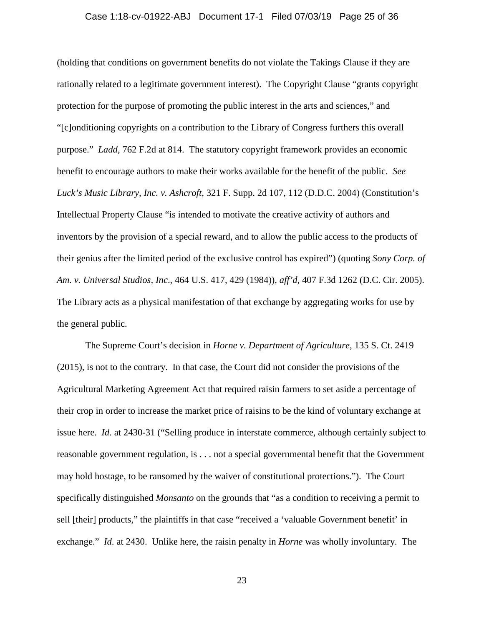# Case 1:18-cv-01922-ABJ Document 17-1 Filed 07/03/19 Page 25 of 36

(holding that conditions on government benefits do not violate the Takings Clause if they are rationally related to a legitimate government interest). The Copyright Clause "grants copyright protection for the purpose of promoting the public interest in the arts and sciences," and "[c]onditioning copyrights on a contribution to the Library of Congress furthers this overall purpose." *Ladd*, 762 F.2d at 814. The statutory copyright framework provides an economic benefit to encourage authors to make their works available for the benefit of the public. *See Luck's Music Library, Inc. v. Ashcroft*, 321 F. Supp. 2d 107, 112 (D.D.C. 2004) (Constitution's Intellectual Property Clause "is intended to motivate the creative activity of authors and inventors by the provision of a special reward, and to allow the public access to the products of their genius after the limited period of the exclusive control has expired") (quoting *Sony Corp. of Am. v. Universal Studios, Inc*., 464 U.S. 417, 429 (1984)), *aff'd*, 407 F.3d 1262 (D.C. Cir. 2005). The Library acts as a physical manifestation of that exchange by aggregating works for use by the general public.

The Supreme Court's decision in *Horne v. Department of Agriculture*, 135 S. Ct. 2419 (2015), is not to the contrary. In that case, the Court did not consider the provisions of the Agricultural Marketing Agreement Act that required raisin farmers to set aside a percentage of their crop in order to increase the market price of raisins to be the kind of voluntary exchange at issue here. *Id*. at 2430-31 ("Selling produce in interstate commerce, although certainly subject to reasonable government regulation, is . . . not a special governmental benefit that the Government may hold hostage, to be ransomed by the waiver of constitutional protections."). The Court specifically distinguished *Monsanto* on the grounds that "as a condition to receiving a permit to sell [their] products," the plaintiffs in that case "received a 'valuable Government benefit' in exchange." *Id*. at 2430. Unlike here, the raisin penalty in *Horne* was wholly involuntary. The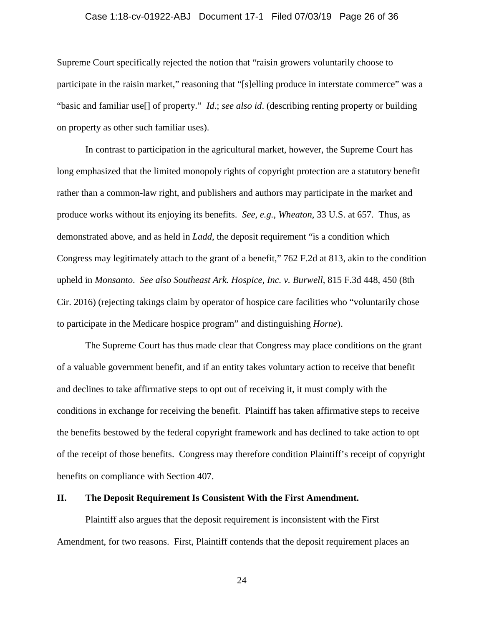# Case 1:18-cv-01922-ABJ Document 17-1 Filed 07/03/19 Page 26 of 36

Supreme Court specifically rejected the notion that "raisin growers voluntarily choose to participate in the raisin market," reasoning that "[s]elling produce in interstate commerce" was a "basic and familiar use[] of property." *Id*.; *see also id*. (describing renting property or building on property as other such familiar uses).

In contrast to participation in the agricultural market, however, the Supreme Court has long emphasized that the limited monopoly rights of copyright protection are a statutory benefit rather than a common-law right, and publishers and authors may participate in the market and produce works without its enjoying its benefits. *See, e.g.*, *Wheaton*, 33 U.S. at 657. Thus, as demonstrated above, and as held in *Ladd*, the deposit requirement "is a condition which Congress may legitimately attach to the grant of a benefit," 762 F.2d at 813, akin to the condition upheld in *Monsanto*. *See also Southeast Ark. Hospice, Inc. v. Burwell*, 815 F.3d 448, 450 (8th Cir. 2016) (rejecting takings claim by operator of hospice care facilities who "voluntarily chose to participate in the Medicare hospice program" and distinguishing *Horne*).

The Supreme Court has thus made clear that Congress may place conditions on the grant of a valuable government benefit, and if an entity takes voluntary action to receive that benefit and declines to take affirmative steps to opt out of receiving it, it must comply with the conditions in exchange for receiving the benefit. Plaintiff has taken affirmative steps to receive the benefits bestowed by the federal copyright framework and has declined to take action to opt of the receipt of those benefits. Congress may therefore condition Plaintiff's receipt of copyright benefits on compliance with Section 407.

# **II. The Deposit Requirement Is Consistent With the First Amendment.**

Plaintiff also argues that the deposit requirement is inconsistent with the First Amendment, for two reasons. First, Plaintiff contends that the deposit requirement places an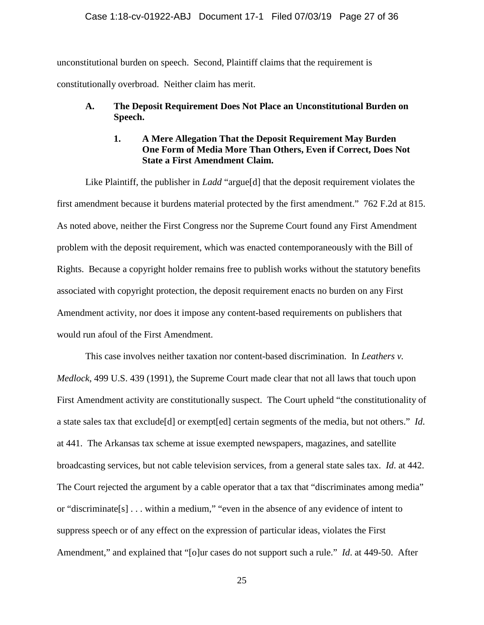# Case 1:18-cv-01922-ABJ Document 17-1 Filed 07/03/19 Page 27 of 36

unconstitutional burden on speech. Second, Plaintiff claims that the requirement is constitutionally overbroad. Neither claim has merit.

# **A. The Deposit Requirement Does Not Place an Unconstitutional Burden on Speech.**

# **1. A Mere Allegation That the Deposit Requirement May Burden One Form of Media More Than Others, Even if Correct, Does Not State a First Amendment Claim.**

Like Plaintiff, the publisher in *Ladd* "argue<sup>[d]</sup> that the deposit requirement violates the first amendment because it burdens material protected by the first amendment." 762 F.2d at 815. As noted above, neither the First Congress nor the Supreme Court found any First Amendment problem with the deposit requirement, which was enacted contemporaneously with the Bill of Rights. Because a copyright holder remains free to publish works without the statutory benefits associated with copyright protection, the deposit requirement enacts no burden on any First Amendment activity, nor does it impose any content-based requirements on publishers that would run afoul of the First Amendment.

This case involves neither taxation nor content-based discrimination. In *Leathers v. Medlock*, 499 U.S. 439 (1991), the Supreme Court made clear that not all laws that touch upon First Amendment activity are constitutionally suspect. The Court upheld "the constitutionality of a state sales tax that exclude[d] or exempt[ed] certain segments of the media, but not others." *Id*. at 441. The Arkansas tax scheme at issue exempted newspapers, magazines, and satellite broadcasting services, but not cable television services, from a general state sales tax. *Id*. at 442. The Court rejected the argument by a cable operator that a tax that "discriminates among media" or "discriminate[s] . . . within a medium," "even in the absence of any evidence of intent to suppress speech or of any effect on the expression of particular ideas, violates the First Amendment," and explained that "[o]ur cases do not support such a rule." *Id*. at 449-50. After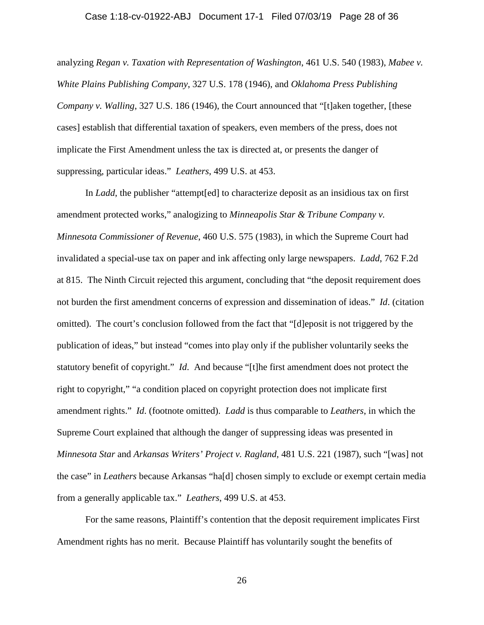## Case 1:18-cv-01922-ABJ Document 17-1 Filed 07/03/19 Page 28 of 36

analyzing *Regan v. Taxation with Representation of Washington*, 461 U.S. 540 (1983), *Mabee v. White Plains Publishing Company*, 327 U.S. 178 (1946), and *Oklahoma Press Publishing Company v. Walling*, 327 U.S. 186 (1946), the Court announced that "[t]aken together, [these cases] establish that differential taxation of speakers, even members of the press, does not implicate the First Amendment unless the tax is directed at, or presents the danger of suppressing, particular ideas." *Leathers*, 499 U.S. at 453.

In *Ladd*, the publisher "attempt[ed] to characterize deposit as an insidious tax on first amendment protected works," analogizing to *Minneapolis Star & Tribune Company v. Minnesota Commissioner of Revenue*, 460 U.S. 575 (1983), in which the Supreme Court had invalidated a special-use tax on paper and ink affecting only large newspapers. *Ladd*, 762 F.2d at 815. The Ninth Circuit rejected this argument, concluding that "the deposit requirement does not burden the first amendment concerns of expression and dissemination of ideas." *Id*. (citation omitted). The court's conclusion followed from the fact that "[d]eposit is not triggered by the publication of ideas," but instead "comes into play only if the publisher voluntarily seeks the statutory benefit of copyright." *Id*. And because "[t]he first amendment does not protect the right to copyright," "a condition placed on copyright protection does not implicate first amendment rights." *Id*. (footnote omitted). *Ladd* is thus comparable to *Leathers*, in which the Supreme Court explained that although the danger of suppressing ideas was presented in *Minnesota Star* and *Arkansas Writers' Project v. Ragland*, 481 U.S. 221 (1987), such "[was] not the case" in *Leathers* because Arkansas "ha[d] chosen simply to exclude or exempt certain media from a generally applicable tax." *Leathers*, 499 U.S. at 453.

For the same reasons, Plaintiff's contention that the deposit requirement implicates First Amendment rights has no merit. Because Plaintiff has voluntarily sought the benefits of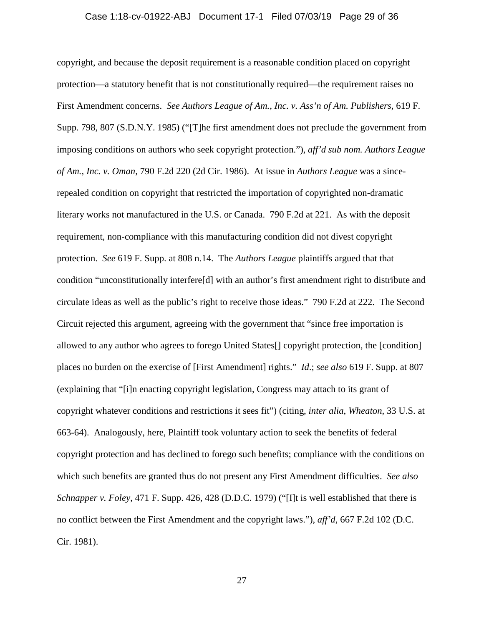# Case 1:18-cv-01922-ABJ Document 17-1 Filed 07/03/19 Page 29 of 36

copyright, and because the deposit requirement is a reasonable condition placed on copyright protection—a statutory benefit that is not constitutionally required—the requirement raises no First Amendment concerns. *See Authors League of Am., Inc. v. Ass'n of Am. Publishers*, 619 F. Supp. 798, 807 (S.D.N.Y. 1985) ("[T]he first amendment does not preclude the government from imposing conditions on authors who seek copyright protection."), *aff'd sub nom. Authors League of Am., Inc. v. Oman*, 790 F.2d 220 (2d Cir. 1986). At issue in *Authors League* was a sincerepealed condition on copyright that restricted the importation of copyrighted non-dramatic literary works not manufactured in the U.S. or Canada. 790 F.2d at 221. As with the deposit requirement, non-compliance with this manufacturing condition did not divest copyright protection. *See* 619 F. Supp. at 808 n.14. The *Authors League* plaintiffs argued that that condition "unconstitutionally interfere[d] with an author's first amendment right to distribute and circulate ideas as well as the public's right to receive those ideas." 790 F.2d at 222. The Second Circuit rejected this argument, agreeing with the government that "since free importation is allowed to any author who agrees to forego United States[] copyright protection, the [condition] places no burden on the exercise of [First Amendment] rights." *Id*.; *see also* 619 F. Supp. at 807 (explaining that "[i]n enacting copyright legislation, Congress may attach to its grant of copyright whatever conditions and restrictions it sees fit") (citing, *inter alia*, *Wheaton*, 33 U.S. at 663-64). Analogously, here, Plaintiff took voluntary action to seek the benefits of federal copyright protection and has declined to forego such benefits; compliance with the conditions on which such benefits are granted thus do not present any First Amendment difficulties. *See also Schnapper v. Foley*, 471 F. Supp. 426, 428 (D.D.C. 1979) ("[I]t is well established that there is no conflict between the First Amendment and the copyright laws."), *aff'd*, 667 F.2d 102 (D.C. Cir. 1981).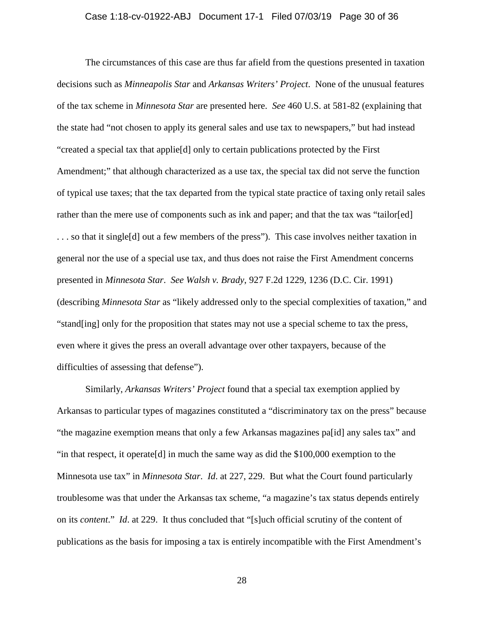# Case 1:18-cv-01922-ABJ Document 17-1 Filed 07/03/19 Page 30 of 36

The circumstances of this case are thus far afield from the questions presented in taxation decisions such as *Minneapolis Star* and *Arkansas Writers' Project*. None of the unusual features of the tax scheme in *Minnesota Star* are presented here. *See* 460 U.S. at 581-82 (explaining that the state had "not chosen to apply its general sales and use tax to newspapers," but had instead "created a special tax that applie[d] only to certain publications protected by the First Amendment;" that although characterized as a use tax, the special tax did not serve the function of typical use taxes; that the tax departed from the typical state practice of taxing only retail sales rather than the mere use of components such as ink and paper; and that the tax was "tailor[ed] . . . so that it single[d] out a few members of the press"). This case involves neither taxation in general nor the use of a special use tax, and thus does not raise the First Amendment concerns presented in *Minnesota Star*. *See Walsh v. Brady*, 927 F.2d 1229, 1236 (D.C. Cir. 1991) (describing *Minnesota Star* as "likely addressed only to the special complexities of taxation," and "stand[ing] only for the proposition that states may not use a special scheme to tax the press, even where it gives the press an overall advantage over other taxpayers, because of the difficulties of assessing that defense").

Similarly, *Arkansas Writers' Project* found that a special tax exemption applied by Arkansas to particular types of magazines constituted a "discriminatory tax on the press" because "the magazine exemption means that only a few Arkansas magazines pa[id] any sales tax" and "in that respect, it operate[d] in much the same way as did the \$100,000 exemption to the Minnesota use tax" in *Minnesota Star*. *Id*. at 227, 229. But what the Court found particularly troublesome was that under the Arkansas tax scheme, "a magazine's tax status depends entirely on its *content*." *Id*. at 229. It thus concluded that "[s]uch official scrutiny of the content of publications as the basis for imposing a tax is entirely incompatible with the First Amendment's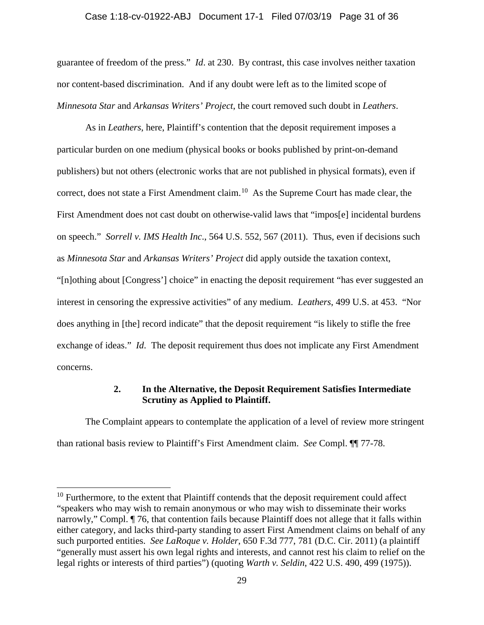# Case 1:18-cv-01922-ABJ Document 17-1 Filed 07/03/19 Page 31 of 36

guarantee of freedom of the press." *Id*. at 230. By contrast, this case involves neither taxation nor content-based discrimination. And if any doubt were left as to the limited scope of *Minnesota Star* and *Arkansas Writers' Project*, the court removed such doubt in *Leathers*.

As in *Leathers*, here, Plaintiff's contention that the deposit requirement imposes a particular burden on one medium (physical books or books published by print-on-demand publishers) but not others (electronic works that are not published in physical formats), even if correct, does not state a First Amendment claim.<sup>10</sup> As the Supreme Court has made clear, the First Amendment does not cast doubt on otherwise-valid laws that "impos[e] incidental burdens on speech." *Sorrell v. IMS Health Inc*., 564 U.S. 552, 567 (2011). Thus, even if decisions such as *Minnesota Star* and *Arkansas Writers' Project* did apply outside the taxation context, "[n]othing about [Congress'] choice" in enacting the deposit requirement "has ever suggested an interest in censoring the expressive activities" of any medium. *Leathers*, 499 U.S. at 453. "Nor does anything in [the] record indicate" that the deposit requirement "is likely to stifle the free exchange of ideas." *Id*. The deposit requirement thus does not implicate any First Amendment concerns.

# **2. In the Alternative, the Deposit Requirement Satisfies Intermediate Scrutiny as Applied to Plaintiff.**

The Complaint appears to contemplate the application of a level of review more stringent than rational basis review to Plaintiff's First Amendment claim. *See* Compl. ¶¶ 77-78.

l

<span id="page-30-0"></span> $10$  Furthermore, to the extent that Plaintiff contends that the deposit requirement could affect "speakers who may wish to remain anonymous or who may wish to disseminate their works narrowly," Compl.  $\P$  76, that contention fails because Plaintiff does not allege that it falls within either category, and lacks third-party standing to assert First Amendment claims on behalf of any such purported entities. *See LaRoque v. Holder*, 650 F.3d 777, 781 (D.C. Cir. 2011) (a plaintiff "generally must assert his own legal rights and interests, and cannot rest his claim to relief on the legal rights or interests of third parties") (quoting *Warth v. Seldin*, 422 U.S. 490, 499 (1975)).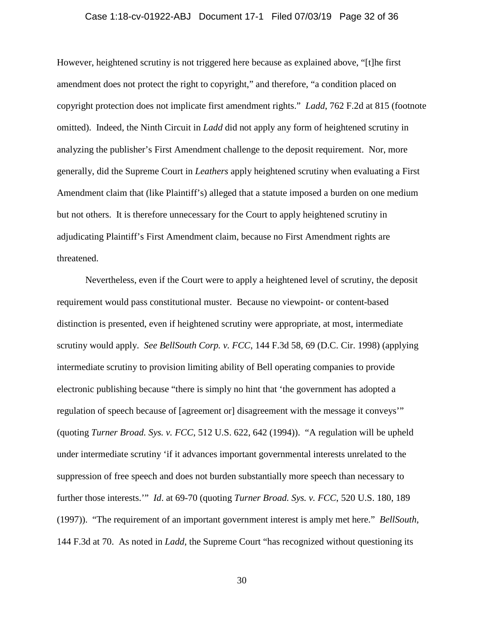# Case 1:18-cv-01922-ABJ Document 17-1 Filed 07/03/19 Page 32 of 36

However, heightened scrutiny is not triggered here because as explained above, "[t]he first amendment does not protect the right to copyright," and therefore, "a condition placed on copyright protection does not implicate first amendment rights." *Ladd*, 762 F.2d at 815 (footnote omitted). Indeed, the Ninth Circuit in *Ladd* did not apply any form of heightened scrutiny in analyzing the publisher's First Amendment challenge to the deposit requirement. Nor, more generally, did the Supreme Court in *Leathers* apply heightened scrutiny when evaluating a First Amendment claim that (like Plaintiff's) alleged that a statute imposed a burden on one medium but not others. It is therefore unnecessary for the Court to apply heightened scrutiny in adjudicating Plaintiff's First Amendment claim, because no First Amendment rights are threatened.

Nevertheless, even if the Court were to apply a heightened level of scrutiny, the deposit requirement would pass constitutional muster. Because no viewpoint- or content-based distinction is presented, even if heightened scrutiny were appropriate, at most, intermediate scrutiny would apply. *See BellSouth Corp. v. FCC*, 144 F.3d 58, 69 (D.C. Cir. 1998) (applying intermediate scrutiny to provision limiting ability of Bell operating companies to provide electronic publishing because "there is simply no hint that 'the government has adopted a regulation of speech because of [agreement or] disagreement with the message it conveys'" (quoting *Turner Broad. Sys. v. FCC*, 512 U.S. 622, 642 (1994)). "A regulation will be upheld under intermediate scrutiny 'if it advances important governmental interests unrelated to the suppression of free speech and does not burden substantially more speech than necessary to further those interests.'" *Id*. at 69-70 (quoting *Turner Broad. Sys. v. FCC*, 520 U.S. 180, 189 (1997)). "The requirement of an important government interest is amply met here." *BellSouth*, 144 F.3d at 70. As noted in *Ladd*, the Supreme Court "has recognized without questioning its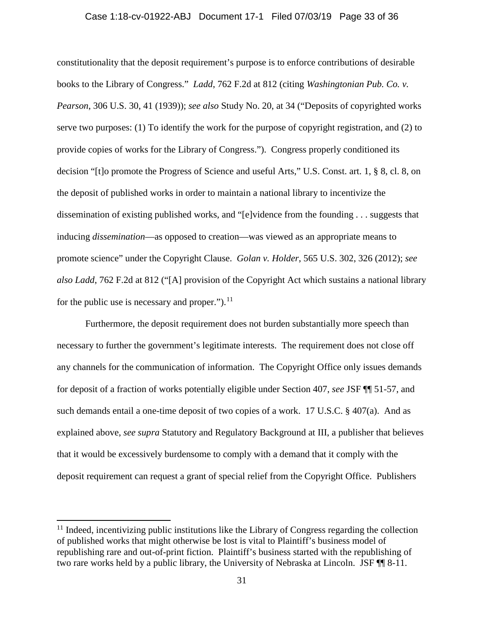# Case 1:18-cv-01922-ABJ Document 17-1 Filed 07/03/19 Page 33 of 36

constitutionality that the deposit requirement's purpose is to enforce contributions of desirable books to the Library of Congress." *Ladd*, 762 F.2d at 812 (citing *Washingtonian Pub. Co. v. Pearson*, 306 U.S. 30, 41 (1939)); *see also* Study No. 20, at 34 ("Deposits of copyrighted works serve two purposes: (1) To identify the work for the purpose of copyright registration, and (2) to provide copies of works for the Library of Congress."). Congress properly conditioned its decision "[t]o promote the Progress of Science and useful Arts," U.S. Const. art. 1, § 8, cl. 8, on the deposit of published works in order to maintain a national library to incentivize the dissemination of existing published works, and "[e]vidence from the founding . . . suggests that inducing *dissemination*—as opposed to creation—was viewed as an appropriate means to promote science" under the Copyright Clause. *Golan v. Holder*, 565 U.S. 302, 326 (2012); *see also Ladd*, 762 F.2d at 812 ("[A] provision of the Copyright Act which sustains a national library for the public use is necessary and proper." $)$ .<sup>[11](#page-32-0)</sup>

Furthermore, the deposit requirement does not burden substantially more speech than necessary to further the government's legitimate interests. The requirement does not close off any channels for the communication of information. The Copyright Office only issues demands for deposit of a fraction of works potentially eligible under Section 407, *see* JSF ¶¶ 51-57, and such demands entail a one-time deposit of two copies of a work. 17 U.S.C. § 407(a). And as explained above, *see supra* Statutory and Regulatory Background at III, a publisher that believes that it would be excessively burdensome to comply with a demand that it comply with the deposit requirement can request a grant of special relief from the Copyright Office. Publishers

 $\overline{\phantom{a}}$ 

<span id="page-32-0"></span> $11$  Indeed, incentivizing public institutions like the Library of Congress regarding the collection of published works that might otherwise be lost is vital to Plaintiff's business model of republishing rare and out-of-print fiction. Plaintiff's business started with the republishing of two rare works held by a public library, the University of Nebraska at Lincoln. JSF ¶¶ 8-11.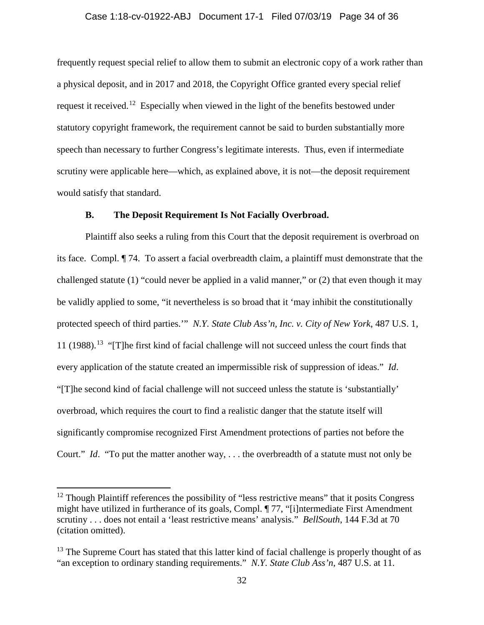# Case 1:18-cv-01922-ABJ Document 17-1 Filed 07/03/19 Page 34 of 36

frequently request special relief to allow them to submit an electronic copy of a work rather than a physical deposit, and in 2017 and 2018, the Copyright Office granted every special relief request it received.[12](#page-33-0) Especially when viewed in the light of the benefits bestowed under statutory copyright framework, the requirement cannot be said to burden substantially more speech than necessary to further Congress's legitimate interests. Thus, even if intermediate scrutiny were applicable here—which, as explained above, it is not—the deposit requirement would satisfy that standard.

# **B. The Deposit Requirement Is Not Facially Overbroad.**

Plaintiff also seeks a ruling from this Court that the deposit requirement is overbroad on its face. Compl. ¶ 74. To assert a facial overbreadth claim, a plaintiff must demonstrate that the challenged statute (1) "could never be applied in a valid manner," or (2) that even though it may be validly applied to some, "it nevertheless is so broad that it 'may inhibit the constitutionally protected speech of third parties.'" *N.Y. State Club Ass'n, Inc. v. City of New York*, 487 U.S. 1, 11 (1988).<sup>13</sup> "[T]he first kind of facial challenge will not succeed unless the court finds that every application of the statute created an impermissible risk of suppression of ideas." *Id*. "[T]he second kind of facial challenge will not succeed unless the statute is 'substantially' overbroad, which requires the court to find a realistic danger that the statute itself will significantly compromise recognized First Amendment protections of parties not before the Court." *Id*. "To put the matter another way, . . . the overbreadth of a statute must not only be

l

<span id="page-33-0"></span> $12$  Though Plaintiff references the possibility of "less restrictive means" that it posits Congress might have utilized in furtherance of its goals, Compl. ¶ 77, "[i]ntermediate First Amendment scrutiny . . . does not entail a 'least restrictive means' analysis." *BellSouth*, 144 F.3d at 70 (citation omitted).

<span id="page-33-1"></span> $13$  The Supreme Court has stated that this latter kind of facial challenge is properly thought of as "an exception to ordinary standing requirements." *N.Y. State Club Ass'n*, 487 U.S. at 11.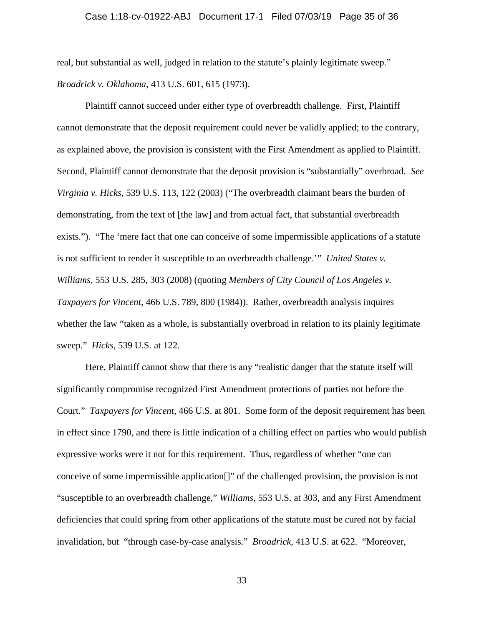real, but substantial as well, judged in relation to the statute's plainly legitimate sweep." *Broadrick v. Oklahoma*, 413 U.S. 601, 615 (1973).

Plaintiff cannot succeed under either type of overbreadth challenge. First, Plaintiff cannot demonstrate that the deposit requirement could never be validly applied; to the contrary, as explained above, the provision is consistent with the First Amendment as applied to Plaintiff. Second, Plaintiff cannot demonstrate that the deposit provision is "substantially" overbroad. *See Virginia v. Hicks*, 539 U.S. 113, 122 (2003) ("The overbreadth claimant bears the burden of demonstrating, from the text of [the law] and from actual fact, that substantial overbreadth exists."). "The 'mere fact that one can conceive of some impermissible applications of a statute is not sufficient to render it susceptible to an overbreadth challenge.'" *United States v. Williams*, 553 U.S. 285, 303 (2008) (quoting *Members of City Council of Los Angeles v. Taxpayers for Vincent*, 466 U.S. 789, 800 (1984)). Rather, overbreadth analysis inquires whether the law "taken as a whole, is substantially overbroad in relation to its plainly legitimate sweep." *Hicks*, 539 U.S. at 122.

Here, Plaintiff cannot show that there is any "realistic danger that the statute itself will significantly compromise recognized First Amendment protections of parties not before the Court." *Taxpayers for Vincent*, 466 U.S. at 801. Some form of the deposit requirement has been in effect since 1790, and there is little indication of a chilling effect on parties who would publish expressive works were it not for this requirement. Thus, regardless of whether "one can conceive of some impermissible application[]" of the challenged provision, the provision is not "susceptible to an overbreadth challenge," *Williams*, 553 U.S. at 303, and any First Amendment deficiencies that could spring from other applications of the statute must be cured not by facial invalidation, but "through case-by-case analysis." *Broadrick*, 413 U.S. at 622. "Moreover,